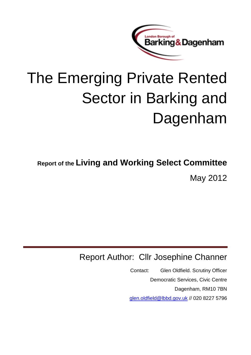

# The Emerging Private Rented Sector in Barking and Dagenham

**Report of the Living and Working Select Committee** May 2012

# Report Author: Cllr Josephine Channer

Contact: Glen Oldfield. Scrutiny Officer Democratic Services, Civic Centre Dagenham, RM10 7BN [glen.oldfield@lbbd.gov.uk](mailto:glen.oldfield@lbbd.gov.uk) // 020 8227 5796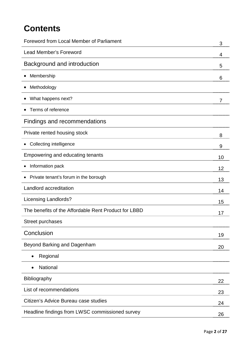# **Contents**

| Foreword from Local Member of Parliament             | 3  |
|------------------------------------------------------|----|
| <b>Lead Member's Foreword</b>                        | 4  |
| Background and introduction                          | 5  |
| Membership                                           | 6  |
| Methodology                                          |    |
| What happens next?                                   | 7  |
| Terms of reference                                   |    |
| <b>Findings and recommendations</b>                  |    |
| Private rented housing stock                         | 8  |
| <b>Collecting intelligence</b>                       | 9  |
| Empowering and educating tenants                     | 10 |
| Information pack                                     | 12 |
| Private tenant's forum in the borough                | 13 |
| Landlord accreditation                               | 14 |
| <b>Licensing Landlords?</b>                          | 15 |
| The benefits of the Affordable Rent Product for LBBD | 17 |
| Street purchases                                     |    |
| Conclusion                                           | 19 |
| Beyond Barking and Dagenham                          | 20 |
| Regional<br>$\bullet$                                |    |
| National<br>$\bullet$                                |    |
| <b>Bibliography</b>                                  | 22 |
| List of recommendations                              | 23 |
| Citizen's Advice Bureau case studies                 | 24 |
| Headline findings from LWSC commissioned survey      | 26 |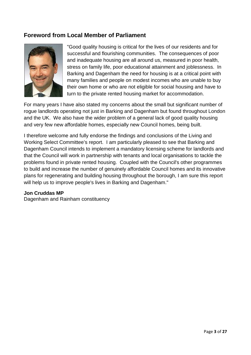# **Foreword from Local Member of Parliament**



"Good quality housing is critical for the lives of our residents and for successful and flourishing communities. The consequences of poor and inadequate housing are all around us, measured in poor health, stress on family life, poor educational attainment and joblessness. In Barking and Dagenham the need for housing is at a critical point with many families and people on modest incomes who are unable to buy their own home or who are not eligible for social housing and have to turn to the private rented housing market for accommodation.

For many years I have also stated my concerns about the small but significant number of rogue landlords operating not just in Barking and Dagenham but found throughout London and the UK. We also have the wider problem of a general lack of good quality housing and very few new affordable homes, especially new Council homes, being built.

I therefore welcome and fully endorse the findings and conclusions of the Living and Working Select Committee's report. I am particularly pleased to see that Barking and Dagenham Council intends to implement a mandatory licensing scheme for landlords and that the Council will work in partnership with tenants and local organisations to tackle the problems found in private rented housing. Coupled with the Council's other programmes to build and increase the number of genuinely affordable Council homes and its innovative plans for regenerating and building housing throughout the borough, I am sure this report will help us to improve people's lives in Barking and Dagenham."

#### **Jon Cruddas MP**

Dagenham and Rainham constituency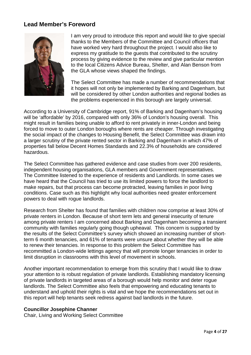## **Lead Member's Foreword**



I am very proud to introduce this report and would like to give special thanks to the Members of the Committee and Council officers that have worked very hard throughout the project. I would also like to express my gratitude to the guests that contributed to the scrutiny process by giving evidence to the review and give particular mention to the local Citizens Advice Bureau, Shelter, and Alan Benson from the GLA whose views shaped the findings.

The Select Committee has made a number of recommendations that it hopes will not only be implemented by Barking and Dagenham, but will be considered by other London authorities and regional bodies as the problems experienced in this borough are largely universal.

According to a University of Cambridge report, 91% of Barking and Dagenham's housing will be 'affordable' by 2016, compared with only 36% of London's housing overall. This might result in families being unable to afford to rent privately in inner-London and being forced to move to outer London boroughs where rents are cheaper. Through investigating the social impact of the changes to Housing Benefit, the Select Committee was drawn into a larger scrutiny of the private rented sector in Barking and Dagenham in which 47% of properties fall below Decent Homes Standards and 22.3% of households are considered hazardous.

The Select Committee has gathered evidence and case studies from over 200 residents, independent housing organisations, GLA members and Government representatives. The Committee listened to the experience of residents and Landlords. In some cases we have heard that the Council has tried to use its limited powers to force the landlord to make repairs, but that process can become protracted, leaving families in poor living conditions. Case such as this highlight why local authorities need greater enforcement powers to deal with rogue landlords.

Research from Shelter has found that families with children now comprise at least 30% of private renters in London. Because of short term lets and general insecurity of tenure among private renters I am concerned about Barking and Dagenham becoming a transient community with families regularly going though upheaval. This concern is supported by the results of the Select Committee's survey which showed an increasing number of shortterm 6 month tenancies, and 61% of tenants were unsure about whether they will be able to renew their tenancies. In response to this problem the Select Committee has recommitted a London-wide lettings agency that will promote longer tenancies in order to limit disruption in classrooms with this level of movement in schools.

Another important recommendation to emerge from this scrutiny that I would like to draw your attention to is robust regulation of private landlords. Establishing mandatory licensing of private landlords in targeted areas of a borough would help monitor and deter rogue landlords. The Select Committee also feels that empowering and educating tenants to understand and uphold their rights is vital and we hope the recommendations set out in this report will help tenants seek redress against bad landlords in the future.

#### **Councillor Josephine Channer**

Chair, Living and Working Select Committee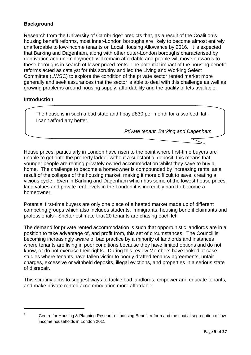### **Background**

Research from the University of Cambridge<sup>[1](#page-4-0)</sup> predicts that, as a result of the Coalition's housing benefit reforms, most inner-London boroughs are likely to become almost entirely unaffordable to low-income tenants on Local Housing Allowance by 2016. It is expected that Barking and Dagenham, along with other outer-London boroughs characterised by deprivation and unemployment, will remain affordable and people will move outwards to these boroughs in search of lower priced rents. The potential impact of the housing benefit reforms acted as catalyst for this scrutiny and led the Living and Working Select Committee (LWSC) to explore the condition of the private sector rented market more generally and seek assurances that the sector is able to deal with this challenge as well as growing problems around housing supply, affordability and the quality of lets available.

#### **Introduction**

The house is in such a bad state and I pay £830 per month for a two bed flat - I can't afford any better.

*Private tenant, Barking and Dagenham*

House prices, particularly in London have risen to the point where first-time buyers are unable to get onto the property ladder without a substantial deposit; this means that younger people are renting privately owned accommodation whilst they save to buy a home. The challenge to become a homeowner is compounded by increasing rents, as a result of the collapse of the housing market, making it more difficult to save, creating a vicious cycle. Even in Barking and Dagenham which has some of the lowest house prices, land values and private rent levels in the London it is incredibly hard to become a homeowner.

Potential first-time buyers are only one piece of a heated market made up of different competing groups which also includes students, immigrants, housing benefit claimants and professionals - Shelter estimate that 20 tenants are chasing each let.

The demand for private rented accommodation is such that opportunistic landlords are in a position to take advantage of, and profit from, this set of circumstances. The Council is becoming increasingly aware of bad practice by a minority of landlords and instances where tenants are living in poor conditions because they have limited options and do not know, or do not exercise their rights. During this review Members have looked at case studies where tenants have fallen victim to poorly drafted tenancy agreements, unfair charges, excessive or withheld deposits, illegal evictions, and properties in a serious state of disrepair.

This scrutiny aims to suggest ways to tackle bad landlords, empower and educate tenants, and make private rented accommodation more affordable.

<sup>&</sup>lt;u>.</u>

<span id="page-4-0"></span><sup>&</sup>lt;sup>1</sup> Centre for Housing & Planning Research – housing Benefit reform and the spatial segregation of low income households in London 2011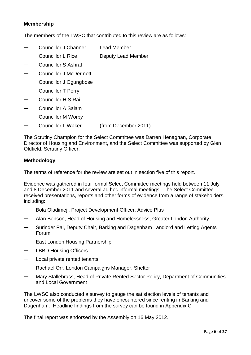#### **Membership**

The members of the LWSC that contributed to this review are as follows:

- Councillor J Channer Lead Member
- Councillor L Rice **Deputy Lead Member**
- ― Councillor S Ashraf
- Councillor J McDermott
- Councillor J Ogungbose
- Councillor T Perry
- ― Councillor H S Rai
- ― Councillor A Salam
- ― Councillor M Worby
- ― Councillor L Waker (from December 2011)

The Scrutiny Champion for the Select Committee was Darren Henaghan, Corporate Director of Housing and Environment, and the Select Committee was supported by Glen Oldfield, Scrutiny Officer.

#### **Methodology**

The terms of reference for the review are set out in section five of this report.

Evidence was gathered in four formal Select Committee meetings held between 11 July and 8 December 2011 and several ad hoc informal meetings. The Select Committee received presentations, reports and other forms of evidence from a range of stakeholders, including:

- ― Bola Oladimeji, Project Development Officer, Advice Plus
- Alan Benson, Head of Housing and Homelessness, Greater London Authority
- Surinder Pal, Deputy Chair, Barking and Dagenham Landlord and Letting Agents Forum
- East London Housing Partnership
- LBBD Housing Officers
- ― Local private rented tenants
- Rachael Orr, London Campaigns Manager, Shelter
- ― Mary Stallebrass, Head of Private Rented Sector Policy, Department of Communities and Local Government

The LWSC also conducted a survey to gauge the satisfaction levels of tenants and uncover some of the problems they have encountered since renting in Barking and Dagenham. Headline findings from the survey can be found in Appendix C.

The final report was endorsed by the Assembly on 16 May 2012.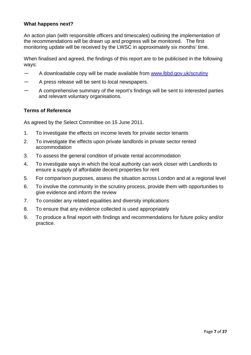#### **What happens next?**

An action plan (with responsible officers and timescales) outlining the implementation of the recommendations will be drawn up and progress will be monitored. The first monitoring update will be received by the LWSC in approximately six months' time.

When finalised and agreed, the findings of this report are to be publicised in the following ways:

- ― A downloadable copy will be made available from [www.lbbd.gov.uk/scrutiny](http://www.lbbd.gov.uk/scrutiny)
- ― A press release will be sent to local newspapers.
- ― A comprehensive summary of the report's findings will be sent to interested parties and relevant voluntary organisations.

#### **Terms of Reference**

As agreed by the Select Committee on 15 June 2011.

- 1. To investigate the effects on income levels for private sector tenants
- 2. To investigate the effects upon private landlords in private sector rented accommodation
- 3. To assess the general condition of private rental accommodation
- 4. To investigate ways in which the local authority can work closer with Landlords to ensure a supply of affordable decent properties for rent
- 5. For comparison purposes, assess the situation across London and at a regional level
- 6. To involve the community in the scrutiny process, provide them with opportunities to give evidence and inform the review
- 7. To consider any related equalities and diversity implications
- 8. To ensure that any evidence collected is used appropriately
- 9. To produce a final report with findings and recommendations for future policy and/or practice.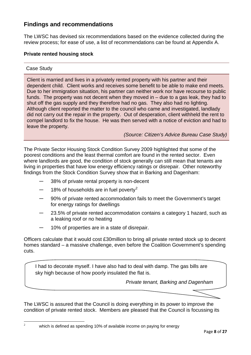# **Findings and recommendations**

The LWSC has devised six recommendations based on the evidence collected during the review process; for ease of use, a list of recommendations can be found at Appendix A.

#### **Private rented housing stock**

#### Case Study

<span id="page-7-0"></span> $\overline{c}$ 

Client is married and lives in a privately rented property with his partner and their dependent child. Client works and receives some benefit to be able to make end meets. Due to her immigration situation, his partner can neither work nor have recourse to public funds. The property was not decent when they moved in  $-$  due to a gas leak, they had to shut off the gas supply and they therefore had no gas. They also had no lighting. Although client reported the matter to the council who came and investigated, landlady did not carry out the repair in the property. Out of desperation, client withheld the rent to compel landlord to fix the house. He was then served with a notice of eviction and had to leave the property.

*(Source: Citizen's Advice Bureau Case Study)*

The Private Sector Housing Stock Condition Survey 2009 highlighted that some of the poorest conditions and the least thermal comfort are found in the rented sector. Even where landlords are good, the condition of stock generally can still mean that tenants are living in properties that have low energy efficiency ratings or disrepair. Other noteworthy findings from the Stock Condition Survey show that in Barking and Dagenham:

- ― 38% of private rental property is non-decent
- 18% of households are in fuel poverty<sup>[2](#page-7-0)</sup>
- ― 90% of private rented accommodation fails to meet the Government's target for energy ratings for dwellings
- ― 23.5% of private rented accommodation contains a category 1 hazard, such as a leaking roof or no heating
- 10% of properties are in a state of disrepair.

Officers calculate that it would cost £30million to bring all private rented stock up to decent homes standard – a massive challenge, even before the Coalition Government's spending cuts.

I had to decorate myself. I have also had to deal with damp. The gas bills are sky high because of how poorly insulated the flat is.

*Private tenant, Barking and Dagenham*

The LWSC is assured that the Council is doing everything in its power to improve the condition of private rented stock. Members are pleased that the Council is focussing its

which is defined as spending 10% of available income on paying for energy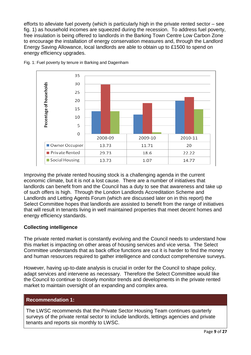efforts to alleviate fuel poverty (which is particularly high in the private rented sector – see fig. 1) as household incomes are squeezed during the recession. To address fuel poverty, free insulation is being offered to landlords in the Barking Town Centre Low Carbon Zone to encourage the installation of energy conservation measures and, through the Landlord Energy Saving Allowance, local landlords are able to obtain up to £1500 to spend on energy efficiency upgrades.



Fig. 1: Fuel poverty by tenure in Barking and Dagenham

Improving the private rented housing stock is a challenging agenda in the current economic climate, but it is not a lost cause. There are a number of initiatives that landlords can benefit from and the Council has a duty to see that awareness and take up of such offers is high. Through the London Landlords Accreditation Scheme and Landlords and Letting Agents Forum (which are discussed later on in this report) the Select Committee hopes that landlords are assisted to benefit from the range of initiatives that will result in tenants living in well maintained properties that meet decent homes and energy efficiency standards.

#### **Collecting intelligence**

The private rented market is constantly evolving and the Council needs to understand how this market is impacting on other areas of housing services and vice versa. The Select Committee understands that as back office functions are cut it is harder to find the money and human resources required to gather intelligence and conduct comprehensive surveys.

However, having up-to-date analysis is crucial in order for the Council to shape policy, adapt services and intervene as necessary. Therefore the Select Committee would like the Council to continue to closely monitor trends and developments in the private rented market to maintain oversight of an expanding and complex area.

#### **Recommendation 1:**

The LWSC recommends that the Private Sector Housing Team continues quarterly surveys of the private rental sector to include landlords, lettings agencies and private tenants and reports six monthly to LWSC.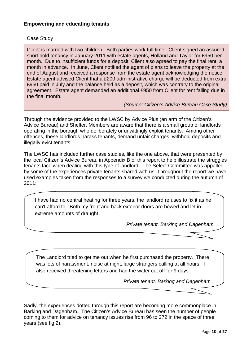#### Case Study

Client is married with two children. Both parties work full time. Client signed an assured short hold tenancy in January 2011 with estate agents, Holland and Taylor for £950 per month. Due to insufficient funds for a deposit, Client also agreed to pay the final rent, a month in advance. In June, Client notified the agent of plans to leave the property at the end of August and received a response from the estate agent acknowledging the notice. Estate agent advised Client that a £200 administrative charge will be deducted from extra £950 paid in July and the balance held as a deposit, which was contrary to the original agreement. Estate agent demanded an additional £950 from Client for rent falling due in the final month.

*(Source: Citizen's Advice Bureau Case Study)*

Through the evidence provided to the LWSC by Advice Plus (an arm of the Citizen's Advice Bureau) and Shelter, Members are aware that there is a small group of landlords operating in the borough who deliberately or unwittingly exploit tenants. Among other offences, these landlords harass tenants, demand unfair charges, withhold deposits and illegally evict tenants.

The LWSC has included further case studies, like the one above, that were presented by the local Citizen's Advice Bureau in Appendix B of this report to help illustrate the struggles tenants face when dealing with this type of landlord. The Select Committee was appalled by some of the experiences private tenants shared with us. Throughout the report we have used examples taken from the responses to a survey we conducted during the autumn of 2011:

I have had no central heating for three years, the landlord refuses to fix it as he can't afford to. Both my front and back exterior doors are bowed and let in extreme amounts of draught.

*Private tenant, Barking and Dagenham*

The Landlord tried to get me out when he first purchased the property. There was lots of harassment, noise at night, large strangers calling at all hours. I also received threatening letters and had the water cut off for 9 days.

*Private tenant, Barking and Dagenham*

Sadly, the experiences dotted through this report are becoming more commonplace in Barking and Dagenham. The Citizen's Advice Bureau has seen the number of people coming to them for advice on tenancy issues rise from 96 to 272 in the space of three years (see fig.2).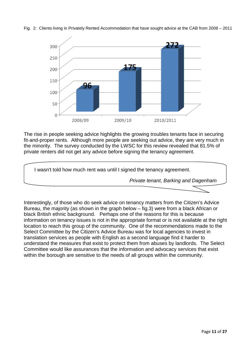



The rise in people seeking advice highlights the growing troubles tenants face in securing fit-and-proper rents. Although more people are seeking out advice, they are very much in the minority. The survey conducted by the LWSC for this review revealed that 81.5% of private renters did not get any advice before signing the tenancy agreement.



Interestingly, of those who do seek advice on tenancy matters from the Citizen's Advice Bureau, the majority (as shown in the graph below – fig.3) were from a black African or black British ethnic background. Perhaps one of the reasons for this is because information on tenancy issues is not in the appropriate format or is not available at the right location to reach this group of the community. One of the recommendations made to the Select Committee by the Citizen's Advice Bureau was for local agencies to invest in translation services as people with English as a second language find it harder to understand the measures that exist to protect them from abuses by landlords. The Select Committee would like assurances that the information and advocacy services that exist within the borough are sensitive to the needs of all groups within the community.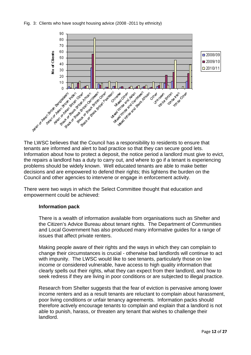#### Fig. 3: Clients who have sought housing advice (2008 -2011 by ethnicity)



The LWSC believes that the Council has a responsibility to residents to ensure that tenants are informed and alert to bad practice so that they can secure good lets. Information about how to protect a deposit, the notice period a landlord must give to evict, the repairs a landlord has a duty to carry out, and where to go if a tenant is experiencing problems should be widely known. Well educated tenants are able to make better decisions and are empowered to defend their rights; this lightens the burden on the Council and other agencies to intervene or engage in enforcement activity.

There were two ways in which the Select Committee thought that education and empowerment could be achieved:

#### **Information pack**

There is a wealth of information available from organisations such as Shelter and the Citizen's Advice Bureau about tenant rights. The Department of Communities and Local Government has also produced many informative guides for a range of issues that affect private renters.

Making people aware of their rights and the ways in which they can complain to change their circumstances is crucial - otherwise bad landlords will continue to act with impunity. The LWSC would like to see tenants, particularly those on low income or considered vulnerable, have access to high quality information that clearly spells out their rights, what they can expect from their landlord, and how to seek redress if they are living in poor conditions or are subjected to illegal practice.

Research from Shelter suggests that the fear of eviction is pervasive among lower income renters and as a result tenants are reluctant to complain about harassment, poor living conditions or unfair tenancy agreements. Information packs should therefore actively encourage tenants to complain and explain that a landlord is not able to punish, harass, or threaten any tenant that wishes to challenge their landlord.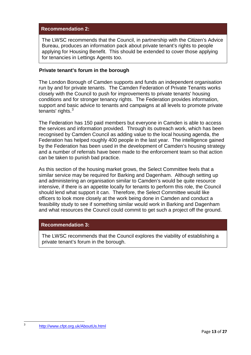#### **Recommendation 2:**

The LWSC recommends that the Council, in partnership with the Citizen's Advice Bureau, produces an information pack about private tenant's rights to people applying for Housing Benefit. This should be extended to cover those applying for tenancies in Lettings Agents too.

#### **Private tenant's forum in the borough**

The London Borough of Camden supports and funds an independent organisation run by and for private tenants. The Camden Federation of Private Tenants works closely with the Council to push for improvements to private tenants' housing conditions and for stronger tenancy rights. The Federation provides information, support and basic advice to tenants and campaigns at all levels to promote private tenants' rights. $3$ 

The Federation has 150 paid members but everyone in Camden is able to access the services and information provided. Through its outreach work, which has been recognised by Camden Council as adding value to the local housing agenda, the Federation has helped roughly 400 people in the last year. The intelligence gained by the Federation has been used in the development of Camden's housing strategy and a number of referrals have been made to the enforcement team so that action can be taken to punish bad practice.

As this section of the housing market grows, the Select Committee feels that a similar service may be required for Barking and Dagenham. Although setting up and administering an organisation similar to Camden's would be quite resource intensive, if there is an appetite locally for tenants to perform this role, the Council should lend what support it can. Therefore, the Select Committee would like officers to look more closely at the work being done in Camden and conduct a feasibility study to see if something similar would work in Barking and Dagenham and what resources the Council could commit to get such a project off the ground.

#### **Recommendation 3:**

The LWSC recommends that the Council explores the viability of establishing a private tenant's forum in the borough.

<span id="page-12-0"></span> $\overline{3}$ 

<sup>3</sup> <http://www.cfpt.org.uk/AboutUs.html>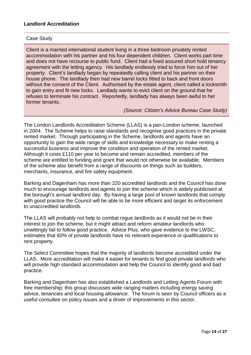#### Case Study

Client is a married international student living in a three bedroom privately rented accommodation with his partner and his four dependent children. Client works part time and does not have recourse to public fund. Client had a fixed assured short hold tenancy agreement with the letting agency. His landlady endlessly tried to force him out of her property. Client's landlady began by repeatedly calling client and his partner on their house phone. The landlady then had new barrel locks fitted to back and front doors without the consent of the Client. Authorised by the estate agent, client called a locksmith to gain entry and fit new locks. Landlady wants to evict client on the ground that he refuses to terminate his contract. Reportedly, landlady has always been awful to her former tenants.

#### *(Source: Citizen's Advice Bureau Case Study)*

The London Landlords Accreditation Scheme (LLAS) is a pan-London scheme, launched in 2004. The Scheme helps to raise standards and recognise good practices in the private rented market. Through participating in the Scheme, landlords and agents have an opportunity to gain the wide range of skills and knowledge necessary to make renting a successful business and improve the condition and operation of the rented market. Although it costs £110 per year to become and remain accredited, members of the scheme are entitled to funding and grant that would not otherwise be available. Members of the scheme also benefit from a range of discounts on things such as builders, merchants, insurance, and fire safety equipment.

Barking and Dagenham has more than 220 accredited landlords and the Council has done much to encourage landlords and agents to join the scheme which is widely publicised at the borough's annual landlord day. By having a large pool of known landlords that comply with good practice the Council will be able to be more efficient and target its enforcement to unaccredited landlords.

The LLAS will probably not help to combat rogue landlords as it would not be in their interest to join the scheme, but it might attract and reform amateur landlords who unwittingly fail to follow good practice. Advice Plus, who gave evidence to the LWSC, estimates that 60% of private landlords have no relevant experience or qualifications to rent property.

The Select Committee hopes that the majority of landlords become accredited under the LLAS. More accreditation will make it easier for tenants to find good private landlords who will provide high standard accommodation and help the Council to identify good and bad practice.

Barking and Dagenham has also established a Landlords and Letting Agents Forum with free membership; this group discusses wide ranging matters including energy saving advice, tenancies and local housing allowance. The forum is seen by Council officers as a useful consultee on policy issues and a driver of improvements in this sector.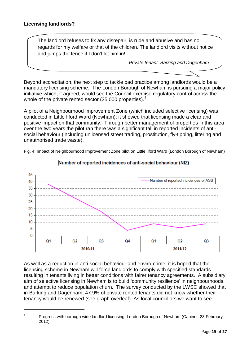.<br>-

The landlord refuses to fix any disrepair, is rude and abusive and has no regards for my welfare or that of the children. The landlord visits without notice and jumps the fence if I don't let him in!

*Private tenant, Barking and Dagenham*

Beyond accreditation, the next step to tackle bad practice among landlords would be a mandatory licensing scheme. The London Borough of Newham is pursuing a major policy initiative which, if agreed, would see the Council exercise regulatory control across the whole of the private rented sector (35,000 properties). $4$ 

A pilot of a Neighbourhood Improvement Zone (which included selective licensing) was conducted in Little Ilford Ward (Newham); it showed that licensing made a clear and positive impact on that community. Through better management of properties in this area over the two years the pilot ran there was a significant fall in reported incidents of antisocial behaviour (including unlicensed street trading, prostitution, fly-tipping, littering and unauthorised trade waste).

Fig. 4: Impact of Neighbourhood Improvement Zone pilot on Little Ilford Ward (London Borough of Newham)



#### Number of reported incidences of anti-social behaviour (NIZ)

As well as a reduction in anti-social behaviour and enviro-crime, it is hoped that the licensing scheme in Newham will force landlords to comply with specified standards resulting in tenants living in better conditions with fairer tenancy agreements. A subsidiary aim of selective licensing in Newham is to build 'community resilience' in neighbourhoods and attempt to reduce population churn. The survey conducted by the LWSC showed that in Barking and Dagenham, 47.9% of private rented tenants did not know whether their tenancy would be renewed (see graph overleaf). As local councillors we want to see

<span id="page-14-0"></span><sup>&</sup>lt;sup>4</sup> Progress with borough wide landlord licensing, London Borough of Newham (Cabinet, 23 February, 2012)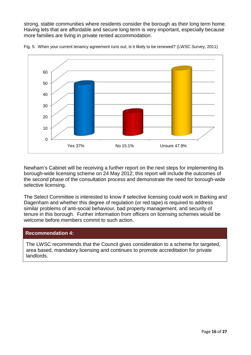strong, stable communities where residents consider the borough as their long term home. Having lets that are affordable and secure long term is very important, especially because more families are living in private rented accommodation.



Fig. 5: When your current tenancy agreement runs out, is it likely to be renewed? (LWSC Survey, 2011)

Newham's Cabinet will be receiving a further report on the next steps for implementing its borough-wide licensing scheme on 24 May 2012; this report will include the outcomes of the second phase of the consultation process and demonstrate the need for borough-wide selective licensing.

The Select Committee is interested to know if selective licensing could work in Barking and Dagenham and whether this degree of regulation (or red tape) is required to address similar problems of anti-social behaviour, bad property management, and security of tenure in this borough. Further information from officers on licensing schemes would be welcome before members commit to such action.

#### **Recommendation 4:**

The LWSC recommends that the Council gives consideration to a scheme for targeted, area based, mandatory licensing and continues to promote accreditation for private landlords.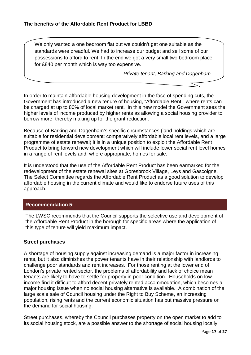We only wanted a one bedroom flat but we couldn't get one suitable as the standards were dreadful. We had to increase our budget and sell some of our possessions to afford to rent. In the end we got a very small two bedroom place for £840 per month which is way too expensive.

*Private tenant, Barking and Dagenham*

In order to maintain affordable housing development in the face of spending cuts, the Government has introduced a new tenure of housing, "Affordable Rent," where rents can be charged at up to 80% of local market rent. In this new model the Government sees the higher levels of income produced by higher rents as allowing a social housing provider to borrow more, thereby making up for the grant reduction.

Because of Barking and Dagenham's specific circumstances (land holdings which are suitable for residential development; comparatively affordable local rent levels, and a large programme of estate renewal) it is in a unique position to exploit the Affordable Rent Product to bring forward new development which will include lower social rent level homes in a range of rent levels and, where appropriate, homes for sale.

It is understood that the use of the Affordable Rent Product has been earmarked for the redevelopment of the estate renewal sites at Goresbrook Village, Leys and Gascoigne. The Select Committee regards the Affordable Rent Product as a good solution to develop affordable housing in the current climate and would like to endorse future uses of this approach.

#### **Recommendation 5:**

The LWSC recommends that the Council supports the selective use and development of the Affordable Rent Product in the borough for specific areas where the application of this type of tenure will yield maximum impact.

#### **Street purchases**

A shortage of housing supply against increasing demand is a major factor in increasing rents, but it also diminishes the power tenants have in their relationship with landlords to challenge poor standards and rent increases. For those renting at the lower end of London's private rented sector, the problems of affordability and lack of choice mean tenants are likely to have to settle for property in poor condition. Households on low income find it difficult to afford decent privately rented accommodation, which becomes a major housing issue when no social housing alternative is available. A combination of the large scale sale of Council housing under the Right to Buy Scheme, an increasing population, rising rents and the current economic situation has put massive pressure on the demand for social housing.

Street purchases, whereby the Council purchases property on the open market to add to its social housing stock, are a possible answer to the shortage of social housing locally,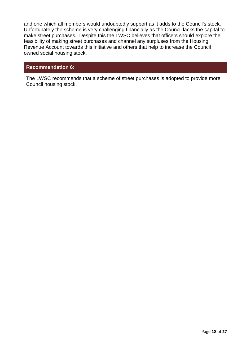and one which all members would undoubtedly support as it adds to the Council's stock. Unfortunately the scheme is very challenging financially as the Council lacks the capital to make street purchases. Despite this the LWSC believes that officers should explore the feasibility of making street purchases and channel any surpluses from the Housing Revenue Account towards this initiative and others that help to increase the Council owned social housing stock.

#### **Recommendation 6:**

The LWSC recommends that a scheme of street purchases is adopted to provide more Council housing stock.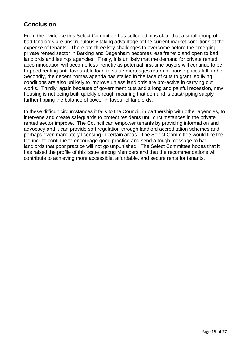# **Conclusion**

From the evidence this Select Committee has collected, it is clear that a small group of bad landlords are unscrupulously taking advantage of the current market conditions at the expense of tenants. There are three key challenges to overcome before the emerging private rented sector in Barking and Dagenham becomes less frenetic and open to bad landlords and lettings agencies. Firstly, it is unlikely that the demand for private rented accommodation will become less frenetic as potential first-time buyers will continue to be trapped renting until favourable loan-to-value mortgages return or house prices fall further. Secondly, the decent homes agenda has stalled in the face of cuts to grant, so living conditions are also unlikely to improve unless landlords are pro-active in carrying out works. Thirdly, again because of government cuts and a long and painful recession, new housing is not being built quickly enough meaning that demand is outstripping supply further tipping the balance of power in favour of landlords.

In these difficult circumstances it falls to the Council, in partnership with other agencies, to intervene and create safeguards to protect residents until circumstances in the private rented sector improve. The Council can empower tenants by providing information and advocacy and it can provide soft regulation through landlord accreditation schemes and perhaps even mandatory licensing in certain areas. The Select Committee would like the Council to continue to encourage good practice and send a tough message to bad landlords that poor practice will not go unpunished. The Select Committee hopes that it has raised the profile of this issue among Members and that the recommendations will contribute to achieving more accessible, affordable, and secure rents for tenants.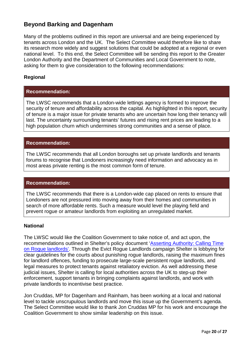# **Beyond Barking and Dagenham**

Many of the problems outlined in this report are universal and are being experienced by tenants across London and the UK. The Select Committee would therefore like to share its research more widely and suggest solutions that could be adopted at a regional or even national level. To this end, the Select Committee will be sending this report to the Greater London Authority and the Department of Communities and Local Government to note, asking for them to give consideration to the following recommendations:

#### **Regional**

#### **Recommendation:**

The LWSC recommends that a London-wide lettings agency is formed to improve the security of tenure and affordability across the capital. As highlighted in this report, security of tenure is a major issue for private tenants who are uncertain how long their tenancy will last. The uncertainty surrounding tenants' futures and rising rent prices are leading to a high population churn which undermines strong communities and a sense of place.

#### **Recommendation:**

The LWSC recommends that all London boroughs set up private landlords and tenants forums to recognise that Londoners increasingly need information and advocacy as in most areas private renting is the most common form of tenure.

#### **Recommendation:**

The LWSC recommends that there is a London-wide cap placed on rents to ensure that Londoners are not pressured into moving away from their homes and communities in search of more affordable rents. Such a measure would level the playing field and prevent rogue or amateur landlords from exploiting an unregulated market.

#### **National**

The LWSC would like the Coalition Government to take notice of, and act upon, the recommendations outlined in Shelter's policy document ['Asserting Authority: Calling Time](http://england.shelter.org.uk/__data/assets/pdf_file/0009/378873/Shelter_-_Asserting_authority_-_calling_time_on_rogue_landlords.pdf)  [on Rogue landlords'.](http://england.shelter.org.uk/__data/assets/pdf_file/0009/378873/Shelter_-_Asserting_authority_-_calling_time_on_rogue_landlords.pdf) Through the Evict Rogue Landlords campaign Shelter is lobbying for clear guidelines for the courts about punishing rogue landlords, raising the maximum fines for landlord offences, funding to prosecute large-scale persistent rogue landlords, and legal measures to protect tenants against retaliatory eviction. As well addressing these judicial issues, Shelter is calling for local authorities across the UK to step-up their enforcement, support tenants in bringing complaints against landlords, and work with private landlords to incentivise best practice.

Jon Cruddas, MP for Dagenham and Rainham, has been working at a local and national level to tackle unscrupulous landlords and move this issue up the Government's agenda. The Select Committee would like to thank Jon Cruddas MP for his work and encourage the Coalition Government to show similar leadership on this issue.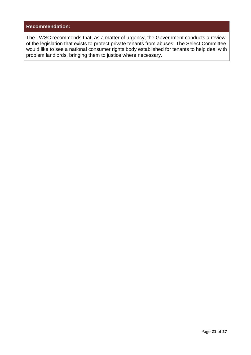#### **Recommendation:**

The LWSC recommends that, as a matter of urgency, the Government conducts a review of the legislation that exists to protect private tenants from abuses. The Select Committee would like to see a national consumer rights body established for tenants to help deal with problem landlords, bringing them to justice where necessary.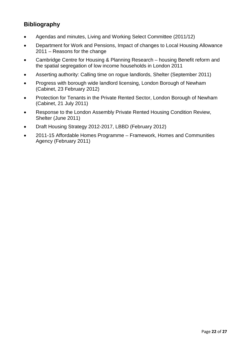# **Bibliography**

- Agendas and minutes, Living and Working Select Committee (2011/12)
- Department for Work and Pensions, Impact of changes to Local Housing Allowance 2011 – Reasons for the change
- Cambridge Centre for Housing & Planning Research housing Benefit reform and the spatial segregation of low income households in London 2011
- Asserting authority: Calling time on rogue landlords, Shelter (September 2011)
- Progress with borough wide landlord licensing, London Borough of Newham (Cabinet, 23 February 2012)
- Protection for Tenants in the Private Rented Sector, London Borough of Newham (Cabinet, 21 July 2011)
- Response to the London Assembly Private Rented Housing Condition Review, Shelter (June 2011)
- Draft Housing Strategy 2012-2017, LBBD (February 2012)
- 2011-15 Affordable Homes Programme Framework, Homes and Communities Agency (February 2011)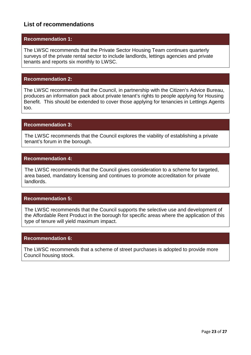## **List of recommendations**

#### **Recommendation 1:**

The LWSC recommends that the Private Sector Housing Team continues quarterly surveys of the private rental sector to include landlords, lettings agencies and private tenants and reports six monthly to LWSC.

#### **Recommendation 2:**

The LWSC recommends that the Council, in partnership with the Citizen's Advice Bureau, produces an information pack about private tenant's rights to people applying for Housing Benefit. This should be extended to cover those applying for tenancies in Lettings Agents too.

#### **Recommendation 3:**

The LWSC recommends that the Council explores the viability of establishing a private tenant's forum in the borough.

#### **Recommendation 4:**

The LWSC recommends that the Council gives consideration to a scheme for targeted, area based, mandatory licensing and continues to promote accreditation for private landlords.

#### **Recommendation 5:**

The LWSC recommends that the Council supports the selective use and development of the Affordable Rent Product in the borough for specific areas where the application of this type of tenure will yield maximum impact.

#### **Recommendation 6:**

The LWSC recommends that a scheme of street purchases is adopted to provide more Council housing stock.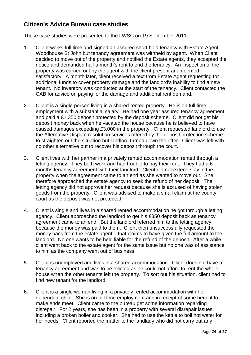# **Citizen's Advice Bureau case studies**

These case studies were presented to the LWSC on 19 September 2011:

- 1. Client works full time and signed an assured short hold tenancy with Estate Agent, Woodhouse St John but tenancy agreement was withheld by agent. When Client decided to move out of the property and notified the Estate agents, they accepted the notice and demanded half a month's rent to end the tenancy. An inspection of the property was carried out by the agent with the client present and deemed satisfactory. A month later, client received a text from Estate Agent requesting for additional funds to cover property damage and the landlord's inability to find a new tenant. No inventory was conducted at the start of the tenancy. Client contacted the CAB for advice on paying for the damage and additional rent demand.
- 2. Client is a single person living in a shared rented property. He is on full time employment with a substantial salary. He had one year assured tenancy agreement and paid a £1,350 deposit protected by the deposit scheme. Client did not get his deposit money back when he vacated the house because he is believed to have caused damages exceeding £3,000 in the property. Client requested landlord to use the Alternative Dispute resolution services offered by the deposit protection scheme to straighten out the situation but landlord turned down the offer. Client was left with no other alternative but to recover his deposit through the court.
- 3. Client lives with her partner in a privately rented accommodation rented through a letting agency. They both work and had trouble to pay their rent. They had a 6 months tenancy agreement with their landlord. Client did not extend stay in the property when the agreement came to an end as she wanted to move out. She therefore approached the estate agency to seek the refund of her deposit. The letting agency did not approve her request because she is accused of having stolen goods from the property. Client was advised to make a small claim at the county court as the deposit was not protected.
- 4. Client is single and lives in a shared rented accommodation he got through a letting agency. Client approached the landlord to get his £850 deposit back as tenancy agreement came to an end. But the landlord referred him to the letting agency because the money was paid to them. Client then unsuccessfully requested the money back from the estate agent – that claims to have given the full amount to the landlord. No one wants to be held liable for the refund of the deposit. After a while, client went back to the estate agent for the same issue but no one was of assistance to him as the company went out of business.
- 5. Client is unemployed and lives in a shared accommodation. Client does not have a tenancy agreement and was to be evicted as he could not afford to rent the whole house when the other tenants left the property. To sort out his situation, client had to find new tenant for the landlord.
- 6. Client is a single woman living in a privately rented accommodation with her dependent child. She is on full time employment and in receipt of some benefit to make ends meet. Client came to the bureau get some information regarding disrepair. For 2 years, she has been in a property with several disrepair issues including a broken boiler and cooker. She had to use the kettle to boil hot water for her needs. Client reported the matter to the landlady who did not carry out any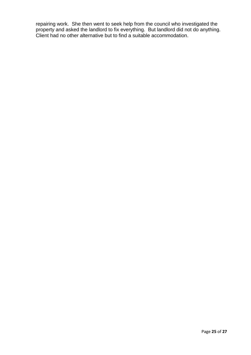repairing work. She then went to seek help from the council who investigated the property and asked the landlord to fix everything. But landlord did not do anything. Client had no other alternative but to find a suitable accommodation.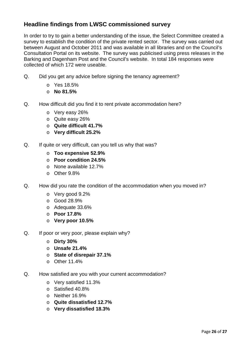# **Headline findings from LWSC commissioned survey**

In order to try to gain a better understanding of the issue, the Select Committee created a survey to establish the condition of the private rented sector. The survey was carried out between August and October 2011 and was available in all libraries and on the Council's Consultation Portal on its website. The survey was publicised using press releases in the Barking and Dagenham Post and the Council's website. In total 184 responses were collected of which 172 were useable.

- Q. Did you get any advice before signing the tenancy agreement?
	- o Yes 18.5%
	- o **No 81.5%**
- Q. How difficult did you find it to rent private accommodation here?
	- o Very easy 26%
	- o Quite easy 26%
	- o **Quite difficult 41.7%**
	- o **Very difficult 25.2%**
- Q. If quite or very difficult, can you tell us why that was?
	- o **Too expensive 52.9%**
	- o **Poor condition 24.5%**
	- o None available 12.7%
	- o Other 9.8%
- Q. How did you rate the condition of the accommodation when you moved in?
	- o Very good 9.2%
	- o Good 28.9%
	- o Adequate 33.6%
	- o **Poor 17.8%**
	- o **Very poor 10.5%**
- Q. If poor or very poor, please explain why?
	- o **Dirty 30%**
	- o **Unsafe 21.4%**
	- o **State of disrepair 37.1%**
	- $\circ$  Other 11.4%
- Q. How satisfied are you with your current accommodation?
	- o Very satisfied 11.3%
	- o Satisfied 40.8%
	- o Neither 16.9%
	- o **Quite dissatisfied 12.7%**
	- o **Very dissatisfied 18.3%**